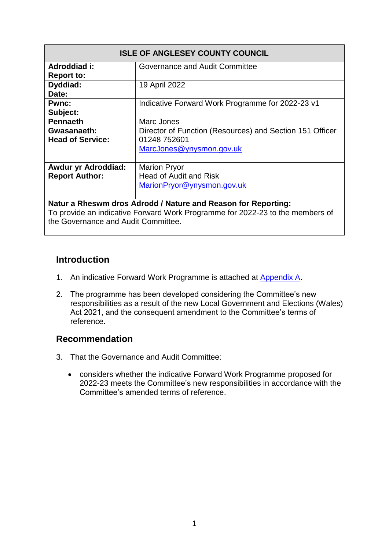| <b>ISLE OF ANGLESEY COUNTY COUNCIL</b>                        |                                                          |  |  |  |  |
|---------------------------------------------------------------|----------------------------------------------------------|--|--|--|--|
| Adroddiad i:                                                  | Governance and Audit Committee                           |  |  |  |  |
| <b>Report to:</b>                                             |                                                          |  |  |  |  |
| Dyddiad:                                                      | 19 April 2022                                            |  |  |  |  |
| Date:                                                         |                                                          |  |  |  |  |
| <b>Pwnc:</b>                                                  | Indicative Forward Work Programme for 2022-23 v1         |  |  |  |  |
| Subject:                                                      |                                                          |  |  |  |  |
| <b>Pennaeth</b>                                               | Marc Jones                                               |  |  |  |  |
| Gwasanaeth:                                                   | Director of Function (Resources) and Section 151 Officer |  |  |  |  |
| <b>Head of Service:</b>                                       | 01248 752601                                             |  |  |  |  |
|                                                               | MarcJones@ynysmon.gov.uk                                 |  |  |  |  |
|                                                               |                                                          |  |  |  |  |
| <b>Awdur yr Adroddiad:</b>                                    | <b>Marion Pryor</b>                                      |  |  |  |  |
| <b>Report Author:</b>                                         | <b>Head of Audit and Risk</b>                            |  |  |  |  |
|                                                               | MarionPryor@ynysmon.gov.uk                               |  |  |  |  |
|                                                               |                                                          |  |  |  |  |
| Natur a Rheswm dros Adrodd / Nature and Reason for Reporting: |                                                          |  |  |  |  |

To provide an indicative Forward Work Programme for 2022-23 to the members of the Governance and Audit Committee.

#### **Introduction**

- 1. An indicative Forward Work Programme is attached at Appendix A.
- 2. The programme has been developed considering the Committee's new responsibilities as a result of the new Local Government and Elections (Wales) Act 2021, and the consequent amendment to the Committee's terms of reference.

#### **Recommendation**

- 3. That the Governance and Audit Committee:
	- considers whether the indicative Forward Work Programme proposed for 2022-23 meets the Committee's new responsibilities in accordance with the Committee's amended terms of reference.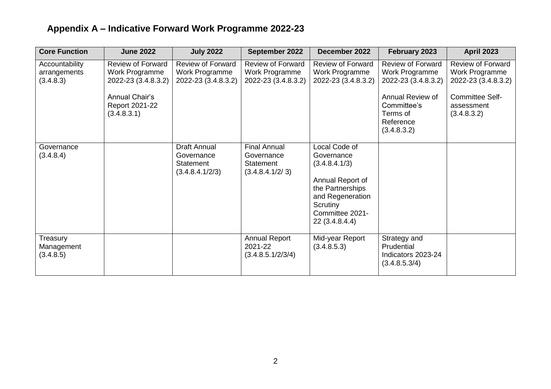| <b>Core Function</b>                        | <b>June 2022</b>                                                                                                     | <b>July 2022</b>                                                  | September 2022                                                    | December 2022                                                                                                                                             | February 2023                                                                                                                                | <b>April 2023</b>                                                                                                        |
|---------------------------------------------|----------------------------------------------------------------------------------------------------------------------|-------------------------------------------------------------------|-------------------------------------------------------------------|-----------------------------------------------------------------------------------------------------------------------------------------------------------|----------------------------------------------------------------------------------------------------------------------------------------------|--------------------------------------------------------------------------------------------------------------------------|
| Accountability<br>arrangements<br>(3.4.8.3) | <b>Review of Forward</b><br>Work Programme<br>2022-23 (3.4.8.3.2)<br>Annual Chair's<br>Report 2021-22<br>(3.4.8.3.1) | <b>Review of Forward</b><br>Work Programme<br>2022-23 (3.4.8.3.2) | <b>Review of Forward</b><br>Work Programme<br>2022-23 (3.4.8.3.2) | <b>Review of Forward</b><br>Work Programme<br>2022-23 (3.4.8.3.2)                                                                                         | <b>Review of Forward</b><br>Work Programme<br>2022-23 (3.4.8.3.2)<br>Annual Review of<br>Committee's<br>Terms of<br>Reference<br>(3.4.8.3.2) | <b>Review of Forward</b><br>Work Programme<br>2022-23 (3.4.8.3.2)<br><b>Committee Self-</b><br>assessment<br>(3.4.8.3.2) |
| Governance<br>(3.4.8.4)                     |                                                                                                                      | Draft Annual<br>Governance<br>Statement<br>(3.4.8.4.1/2/3)        | <b>Final Annual</b><br>Governance<br>Statement<br>(3.4.8.4.1/2/3) | Local Code of<br>Governance<br>(3.4.8.4.1/3)<br>Annual Report of<br>the Partnerships<br>and Regeneration<br>Scrutiny<br>Committee 2021-<br>22 (3.4.8.4.4) |                                                                                                                                              |                                                                                                                          |
| Treasury<br>Management<br>(3.4.8.5)         |                                                                                                                      |                                                                   | <b>Annual Report</b><br>2021-22<br>(3.4.8.5.1/2/3/4)              | Mid-year Report<br>(3.4.8.5.3)                                                                                                                            | Strategy and<br>Prudential<br>Indicators 2023-24<br>(3.4.8.5.3/4)                                                                            |                                                                                                                          |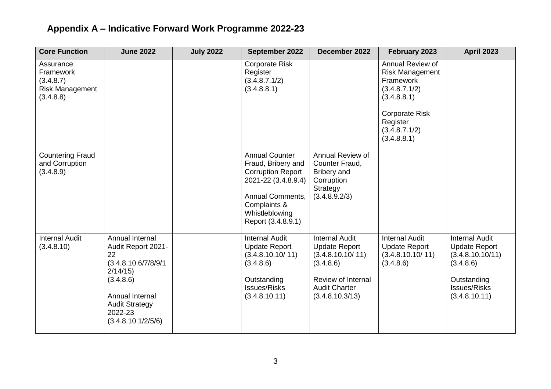| <b>Core Function</b>                                                       | <b>June 2022</b>                                                                                                                                                         | <b>July 2022</b> | September 2022                                                                                                                                                                    | December 2022                                                                                                                                   | February 2023                                                                                                                                                | <b>April 2023</b>                                                                                                                     |
|----------------------------------------------------------------------------|--------------------------------------------------------------------------------------------------------------------------------------------------------------------------|------------------|-----------------------------------------------------------------------------------------------------------------------------------------------------------------------------------|-------------------------------------------------------------------------------------------------------------------------------------------------|--------------------------------------------------------------------------------------------------------------------------------------------------------------|---------------------------------------------------------------------------------------------------------------------------------------|
| Assurance<br>Framework<br>(3.4.8.7)<br><b>Risk Management</b><br>(3.4.8.8) |                                                                                                                                                                          |                  | <b>Corporate Risk</b><br>Register<br>(3.4.8.7.1/2)<br>(3.4.8.8.1)                                                                                                                 |                                                                                                                                                 | Annual Review of<br><b>Risk Management</b><br>Framework<br>(3.4.8.7.1/2)<br>(3.4.8.8.1)<br><b>Corporate Risk</b><br>Register<br>(3.4.8.7.1/2)<br>(3.4.8.8.1) |                                                                                                                                       |
| <b>Countering Fraud</b><br>and Corruption<br>(3.4.8.9)                     |                                                                                                                                                                          |                  | <b>Annual Counter</b><br>Fraud, Bribery and<br><b>Corruption Report</b><br>2021-22 (3.4.8.9.4)<br><b>Annual Comments,</b><br>Complaints &<br>Whistleblowing<br>Report (3.4.8.9.1) | Annual Review of<br>Counter Fraud,<br>Bribery and<br>Corruption<br>Strategy<br>(3.4.8.9.2/3)                                                    |                                                                                                                                                              |                                                                                                                                       |
| <b>Internal Audit</b><br>(3.4.8.10)                                        | Annual Internal<br>Audit Report 2021-<br>22<br>(3.4.8.10.6/7/8/9/1)<br>2/14/15<br>(3.4.8.6)<br>Annual Internal<br><b>Audit Strategy</b><br>2022-23<br>(3.4.8.10.1/2/5/6) |                  | <b>Internal Audit</b><br><b>Update Report</b><br>(3.4.8.10.10/11)<br>(3.4.8.6)<br>Outstanding<br><b>Issues/Risks</b><br>(3.4.8.10.11)                                             | <b>Internal Audit</b><br><b>Update Report</b><br>(3.4.8.10.10/11)<br>(3.4.8.6)<br>Review of Internal<br><b>Audit Charter</b><br>(3.4.8.10.3/13) | <b>Internal Audit</b><br><b>Update Report</b><br>(3.4.8.10.10/11)<br>(3.4.8.6)                                                                               | <b>Internal Audit</b><br><b>Update Report</b><br>(3.4.8.10.10/11)<br>(3.4.8.6)<br>Outstanding<br><b>Issues/Risks</b><br>(3.4.8.10.11) |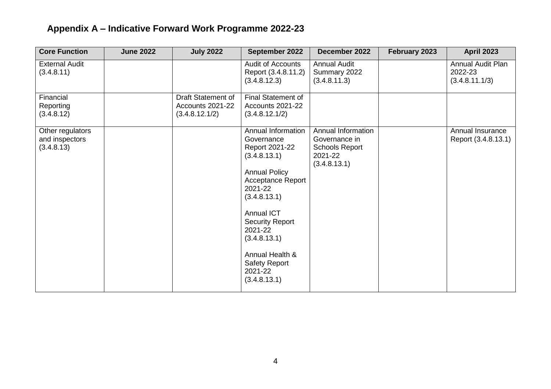| <b>Core Function</b>                             | <b>June 2022</b> | <b>July 2022</b>                                         | September 2022                                                                                                                                                                                                                                                                                    | December 2022                                                                           | February 2023 | <b>April 2023</b>                              |
|--------------------------------------------------|------------------|----------------------------------------------------------|---------------------------------------------------------------------------------------------------------------------------------------------------------------------------------------------------------------------------------------------------------------------------------------------------|-----------------------------------------------------------------------------------------|---------------|------------------------------------------------|
| <b>External Audit</b><br>(3.4.8.11)              |                  |                                                          | <b>Audit of Accounts</b><br>Report (3.4.8.11.2)<br>(3.4.8.12.3)                                                                                                                                                                                                                                   | <b>Annual Audit</b><br>Summary 2022<br>(3.4.8.11.3)                                     |               | Annual Audit Plan<br>2022-23<br>(3.4.8.11.1/3) |
| Financial<br>Reporting<br>(3.4.8.12)             |                  | Draft Statement of<br>Accounts 2021-22<br>(3.4.8.12.1/2) | Final Statement of<br>Accounts 2021-22<br>(3.4.8.12.1/2)                                                                                                                                                                                                                                          |                                                                                         |               |                                                |
| Other regulators<br>and inspectors<br>(3.4.8.13) |                  |                                                          | Annual Information<br>Governance<br>Report 2021-22<br>(3.4.8.13.1)<br><b>Annual Policy</b><br><b>Acceptance Report</b><br>2021-22<br>(3.4.8.13.1)<br><b>Annual ICT</b><br><b>Security Report</b><br>2021-22<br>(3.4.8.13.1)<br>Annual Health &<br><b>Safety Report</b><br>2021-22<br>(3.4.8.13.1) | Annual Information<br>Governance in<br><b>Schools Report</b><br>2021-22<br>(3.4.8.13.1) |               | Annual Insurance<br>Report (3.4.8.13.1)        |